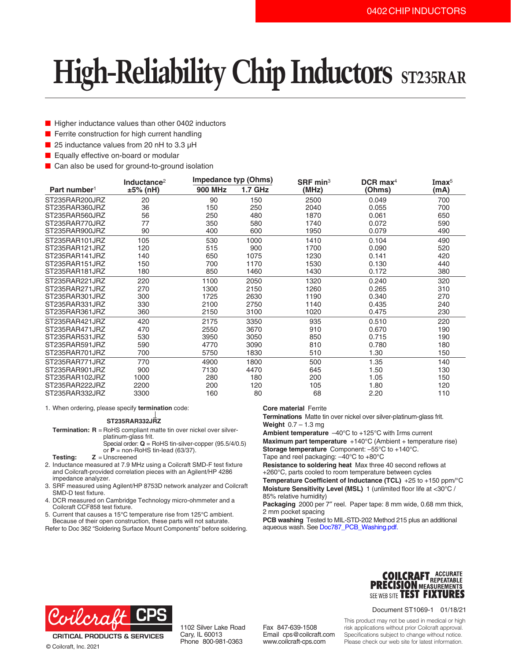# **High-Reliability Chip Inductors** ST235RAR

- Higher inductance values than other 0402 inductors
- Ferrite construction for high current handling
- 25 inductance values from 20 nH to 3.3 µH
- Equally effective on-board or modular
- Can also be used for ground-to-ground isolation

|                          | Inductance <sup>2</sup> | <b>Impedance typ (Ohms)</b> |                | SRF min $3$ | $DCR$ max <sup>4</sup> | Imax <sup>5</sup> |
|--------------------------|-------------------------|-----------------------------|----------------|-------------|------------------------|-------------------|
| Part number <sup>1</sup> | ±5% (nH)                | <b>900 MHz</b>              | <b>1.7 GHz</b> | (MHz)       | (Ohms)                 | (mA)              |
| ST235RAR200JRZ           | 20                      | 90                          | 150            | 2500        | 0.049                  | 700               |
| ST235RAR360JRZ           | 36                      | 150                         | 250            | 2040        | 0.055                  | 700               |
| ST235RAR560JRZ           | 56                      | 250                         | 480            | 1870        | 0.061                  | 650               |
| ST235RAR770JRZ           | 77                      | 350                         | 580            | 1740        | 0.072                  | 590               |
| ST235RAR900JRZ           | 90                      | 400                         | 600            | 1950        | 0.079                  | 490               |
| ST235RAR101JRZ           | 105                     | 530                         | 1000           | 1410        | 0.104                  | 490               |
| ST235RAR121JRZ           | 120                     | 515                         | 900            | 1700        | 0.090                  | 520               |
| ST235RAR141JRZ           | 140                     | 650                         | 1075           | 1230        | 0.141                  | 420               |
| ST235RAR151JRZ           | 150                     | 700                         | 1170           | 1530        | 0.130                  | 440               |
| ST235RAR181JRZ           | 180                     | 850                         | 1460           | 1430        | 0.172                  | 380               |
| ST235RAR221JRZ           | 220                     | 1100                        | 2050           | 1320        | 0.240                  | 320               |
| ST235RAR271JRZ           | 270                     | 1300                        | 2150           | 1260        | 0.265                  | 310               |
| ST235RAR301JRZ           | 300                     | 1725                        | 2630           | 1190        | 0.340                  | 270               |
| ST235RAR331JRZ           | 330                     | 2100                        | 2750           | 1140        | 0.435                  | 240               |
| ST235RAR361JRZ           | 360                     | 2150                        | 3100           | 1020        | 0.475                  | 230               |
| ST235RAR421JRZ           | 420                     | 2175                        | 3350           | 935         | 0.510                  | 220               |
| ST235RAR471JRZ           | 470                     | 2550                        | 3670           | 910         | 0.670                  | 190               |
| ST235RAR531JRZ           | 530                     | 3950                        | 3050           | 850         | 0.715                  | 190               |
| ST235RAR591JRZ           | 590                     | 4770                        | 3090           | 810         | 0.780                  | 180               |
| ST235RAR701JRZ           | 700                     | 5750                        | 1830           | 510         | 1.30                   | 150               |
| ST235RAR771JRZ           | 770                     | 4900                        | 1800           | 500         | 1.35                   | 140               |
| ST235RAR901JRZ           | 900                     | 7130                        | 4470           | 645         | 1.50                   | 130               |
| ST235RAR102JRZ           | 1000                    | 280                         | 180            | 200         | 1.05                   | 150               |
| ST235RAR222JRZ           | 2200                    | 200                         | 120            | 105         | 1.80                   | 120               |
| ST235RAR332JRZ           | 3300                    | 160                         | 80             | 68          | 2.20                   | 110               |

1. When ordering, please specify **termination** code:

#### **ST235RAR332JRZ**

**Termination: R** = RoHS compliant matte tin over nickel over silverplatinum-glass frit. Special order: **Q** = RoHS tin-silver-copper (95.5/4/0.5)

or **P** = non-RoHS tin-lead (63/37).

- **Testing: Z** = Unscreened
- 2. Inductance measured at 7.9 MHz using a Coilcraft SMD-F test fixture and Coilcraft-provided correlation pieces with an Agilent/HP 4286 impedance analyzer.
- 3. SRF measured using Agilent/HP 8753D network analyzer and Coilcraft SMD-D test fixture.
- 4. DCR measured on Cambridge Technology micro-ohmmeter and a Coilcraft CCF858 test fixture.
- 5. Current that causes a 15°C temperature rise from 125°C ambient. Because of their open construction, these parts will not saturate.
- Refer to Doc 362 "Soldering Surface Mount Components" before soldering.

### **Core material** Ferrite

**Terminations** Matte tin over nickel over silver-platinum-glass frit. **Weight** 0.7 – 1.3 mg

**Ambient temperature** –40°C to +125°C with Irms current **Maximum part temperature** +140°C (Ambient + temperature rise) **Storage temperature** Component: –55°C to +140°C.

Tape and reel packaging: –40°C to +80°C

**Resistance to soldering heat** Max three 40 second reflows at +260°C, parts cooled to room temperature between cycles **Temperature Coefficient of Inductance (TCL)** +25 to +150 ppm/°C **Moisture Sensitivity Level (MSL)** 1 (unlimited floor life at <30°C / 85% relative humidity)

Packaging 2000 per 7" reel. Paper tape: 8 mm wide, 0.68 mm thick, 2 mm pocket spacing

**PCB washing** Tested to MIL-STD-202 Method 215 plus an additional aqueous wash. See [Doc787\\_PCB\\_Washing.pdf](http://www.coilcraft.com/pdfs/Doc787_PCB_Washing.pdf).



**CRITICAL PRODUCTS & SERVICES** © Coilcraft, Inc. 2021

1102 Silver Lake Road Cary, IL 60013 Phone 800-981-0363

Fax 847-639-1508 Email cps@coilcraft.com www.coilcraft-cps.com



Document ST1069-1 01/18/21

This product may not be used in medical or high risk applications without prior Coilcraft approval. Specifications subject to change without notice. Please check our web site for latest information.